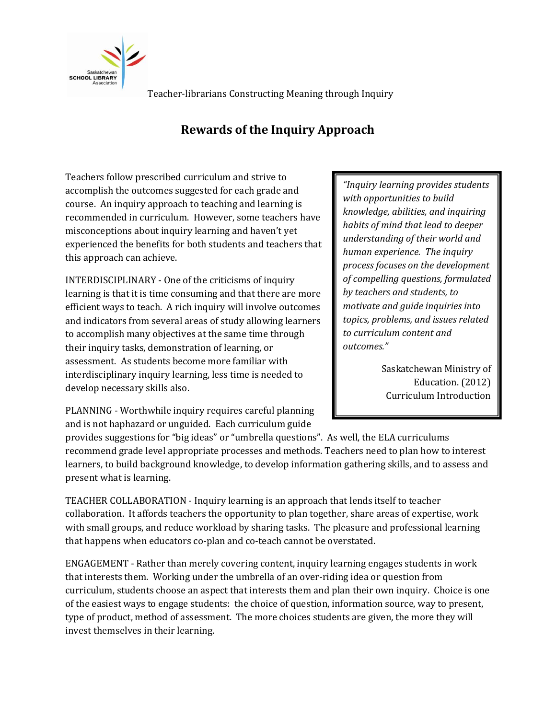

Teacher-librarians Constructing Meaning through Inquiry

## **Rewards of the Inquiry Approach**

Teachers follow prescribed curriculum and strive to accomplish the outcomes suggested for each grade and course. An inquiry approach to teaching and learning is recommended in curriculum. However, some teachers have misconceptions about inquiry learning and haven't yet experienced the benefits for both students and teachers that this approach can achieve.

INTERDISCIPLINARY - One of the criticisms of inquiry learning is that it is time consuming and that there are more efficient ways to teach. A rich inquiry will involve outcomes and indicators from several areas of study allowing learners to accomplish many objectives at the same time through their inquiry tasks, demonstration of learning, or assessment. As students become more familiar with interdisciplinary inquiry learning, less time is needed to develop necessary skills also.

PLANNING - Worthwhile inquiry requires careful planning and is not haphazard or unguided. Each curriculum guide

provides suggestions for "big ideas" or "umbrella questions". As well, the ELA curriculums recommend grade level appropriate processes and methods. Teachers need to plan how to interest learners, to build background knowledge, to develop information gathering skills, and to assess and present what is learning.

TEACHER COLLABORATION - Inquiry learning is an approach that lends itself to teacher collaboration. It affords teachers the opportunity to plan together, share areas of expertise, work with small groups, and reduce workload by sharing tasks. The pleasure and professional learning that happens when educators co-plan and co-teach cannot be overstated.

ENGAGEMENT - Rather than merely covering content, inquiry learning engages students in work that interests them. Working under the umbrella of an over-riding idea or question from curriculum, students choose an aspect that interests them and plan their own inquiry. Choice is one of the easiest ways to engage students: the choice of question, information source, way to present, type of product, method of assessment. The more choices students are given, the more they will invest themselves in their learning.

*"Inquiry learning provides students with opportunities to build knowledge, abilities, and inquiring habits of mind that lead to deeper understanding of their world and human experience. The inquiry process focuses on the development of compelling questions, formulated by teachers and students, to motivate and guide inquiries into topics, problems, and issues related to curriculum content and outcomes."*

> Saskatchewan Ministry of Education. (2012) Curriculum Introduction